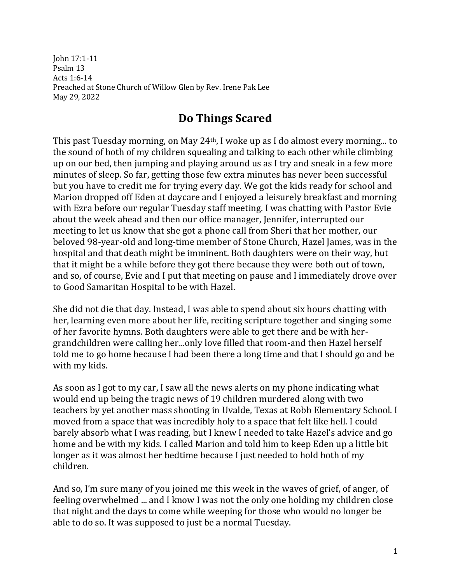John 17:1-11 Psalm 13 Acts 1:6-14 Preached at Stone Church of Willow Glen by Rev. Irene Pak Lee May 29, 2022

## **Do Things Scared**

This past Tuesday morning, on May 24th, I woke up as I do almost every morning... to the sound of both of my children squealing and talking to each other while climbing up on our bed, then jumping and playing around us as I try and sneak in a few more minutes of sleep. So far, getting those few extra minutes has never been successful but you have to credit me for trying every day. We got the kids ready for school and Marion dropped off Eden at daycare and I enjoyed a leisurely breakfast and morning with Ezra before our regular Tuesday staff meeting. I was chatting with Pastor Evie about the week ahead and then our office manager, Jennifer, interrupted our meeting to let us know that she got a phone call from Sheri that her mother, our beloved 98-year-old and long-time member of Stone Church, Hazel James, was in the hospital and that death might be imminent. Both daughters were on their way, but that it might be a while before they got there because they were both out of town, and so, of course, Evie and I put that meeting on pause and I immediately drove over to Good Samaritan Hospital to be with Hazel.

She did not die that day. Instead, I was able to spend about six hours chatting with her, learning even more about her life, reciting scripture together and singing some of her favorite hymns. Both daughters were able to get there and be with hergrandchildren were calling her...only love filled that room-and then Hazel herself told me to go home because I had been there a long time and that I should go and be with my kids.

As soon as I got to my car, I saw all the news alerts on my phone indicating what would end up being the tragic news of 19 children murdered along with two teachers by yet another mass shooting in Uvalde, Texas at Robb Elementary School. I moved from a space that was incredibly holy to a space that felt like hell. I could barely absorb what I was reading, but I knew I needed to take Hazel's advice and go home and be with my kids. I called Marion and told him to keep Eden up a little bit longer as it was almost her bedtime because I just needed to hold both of my children.

And so, I'm sure many of you joined me this week in the waves of grief, of anger, of feeling overwhelmed ... and I know I was not the only one holding my children close that night and the days to come while weeping for those who would no longer be able to do so. It was supposed to just be a normal Tuesday.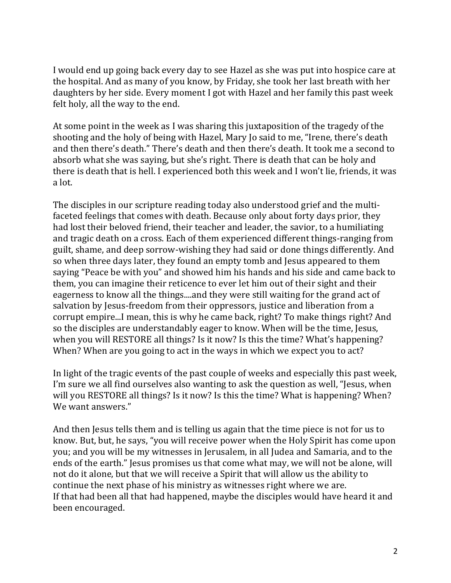I would end up going back every day to see Hazel as she was put into hospice care at the hospital. And as many of you know, by Friday, she took her last breath with her daughters by her side. Every moment I got with Hazel and her family this past week felt holy, all the way to the end.

At some point in the week as I was sharing this juxtaposition of the tragedy of the shooting and the holy of being with Hazel, Mary Jo said to me, "Irene, there's death and then there's death." There's death and then there's death. It took me a second to absorb what she was saying, but she's right. There is death that can be holy and there is death that is hell. I experienced both this week and I won't lie, friends, it was a lot.

The disciples in our scripture reading today also understood grief and the multifaceted feelings that comes with death. Because only about forty days prior, they had lost their beloved friend, their teacher and leader, the savior, to a humiliating and tragic death on a cross. Each of them experienced different things-ranging from guilt, shame, and deep sorrow-wishing they had said or done things differently. And so when three days later, they found an empty tomb and Jesus appeared to them saying "Peace be with you" and showed him his hands and his side and came back to them, you can imagine their reticence to ever let him out of their sight and their eagerness to know all the things....and they were still waiting for the grand act of salvation by Jesus-freedom from their oppressors, justice and liberation from a corrupt empire...I mean, this is why he came back, right? To make things right? And so the disciples are understandably eager to know. When will be the time, Jesus, when you will RESTORE all things? Is it now? Is this the time? What's happening? When? When are you going to act in the ways in which we expect you to act?

In light of the tragic events of the past couple of weeks and especially this past week, I'm sure we all find ourselves also wanting to ask the question as well, "Jesus, when will you RESTORE all things? Is it now? Is this the time? What is happening? When? We want answers."

And then Jesus tells them and is telling us again that the time piece is not for us to know. But, but, he says, "you will receive power when the Holy Spirit has come upon you; and you will be my witnesses in Jerusalem, in all Judea and Samaria, and to the ends of the earth." Jesus promises us that come what may, we will not be alone, will not do it alone, but that we will receive a Spirit that will allow us the ability to continue the next phase of his ministry as witnesses right where we are. If that had been all that had happened, maybe the disciples would have heard it and been encouraged.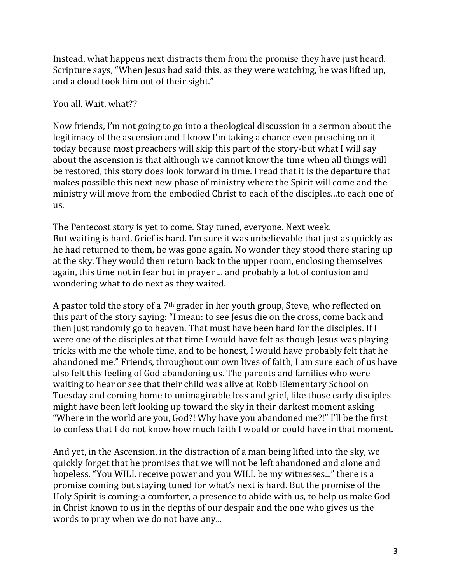Instead, what happens next distracts them from the promise they have just heard. Scripture says, "When Jesus had said this, as they were watching, he was lifted up, and a cloud took him out of their sight."

## You all. Wait, what??

Now friends, I'm not going to go into a theological discussion in a sermon about the legitimacy of the ascension and I know I'm taking a chance even preaching on it today because most preachers will skip this part of the story-but what I will say about the ascension is that although we cannot know the time when all things will be restored, this story does look forward in time. I read that it is the departure that makes possible this next new phase of ministry where the Spirit will come and the ministry will move from the embodied Christ to each of the disciples...to each one of us.

The Pentecost story is yet to come. Stay tuned, everyone. Next week. But waiting is hard. Grief is hard. I'm sure it was unbelievable that just as quickly as he had returned to them, he was gone again. No wonder they stood there staring up at the sky. They would then return back to the upper room, enclosing themselves again, this time not in fear but in prayer ... and probably a lot of confusion and wondering what to do next as they waited.

A pastor told the story of a 7th grader in her youth group, Steve, who reflected on this part of the story saying: "I mean: to see Jesus die on the cross, come back and then just randomly go to heaven. That must have been hard for the disciples. If I were one of the disciples at that time I would have felt as though Jesus was playing tricks with me the whole time, and to be honest, I would have probably felt that he abandoned me." Friends, throughout our own lives of faith, I am sure each of us have also felt this feeling of God abandoning us. The parents and families who were waiting to hear or see that their child was alive at Robb Elementary School on Tuesday and coming home to unimaginable loss and grief, like those early disciples might have been left looking up toward the sky in their darkest moment asking "Where in the world are you, God?! Why have you abandoned me?!" I'll be the first to confess that I do not know how much faith I would or could have in that moment.

And yet, in the Ascension, in the distraction of a man being lifted into the sky, we quickly forget that he promises that we will not be left abandoned and alone and hopeless. "You WILL receive power and you WILL be my witnesses..." there is a promise coming but staying tuned for what's next is hard. But the promise of the Holy Spirit is coming-a comforter, a presence to abide with us, to help us make God in Christ known to us in the depths of our despair and the one who gives us the words to pray when we do not have any...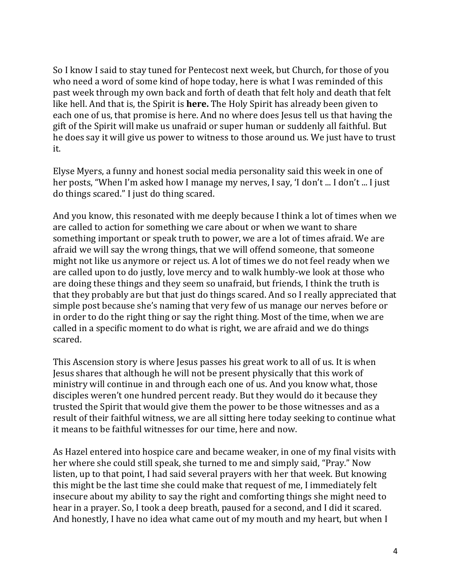So I know I said to stay tuned for Pentecost next week, but Church, for those of you who need a word of some kind of hope today, here is what I was reminded of this past week through my own back and forth of death that felt holy and death that felt like hell. And that is, the Spirit is **here.** The Holy Spirit has already been given to each one of us, that promise is here. And no where does Jesus tell us that having the gift of the Spirit will make us unafraid or super human or suddenly all faithful. But he does say it will give us power to witness to those around us. We just have to trust it.

Elyse Myers, a funny and honest social media personality said this week in one of her posts, "When I'm asked how I manage my nerves, I say, 'I don't ... I don't ... I just do things scared." I just do thing scared.

And you know, this resonated with me deeply because I think a lot of times when we are called to action for something we care about or when we want to share something important or speak truth to power, we are a lot of times afraid. We are afraid we will say the wrong things, that we will offend someone, that someone might not like us anymore or reject us. A lot of times we do not feel ready when we are called upon to do justly, love mercy and to walk humbly-we look at those who are doing these things and they seem so unafraid, but friends, I think the truth is that they probably are but that just do things scared. And so I really appreciated that simple post because she's naming that very few of us manage our nerves before or in order to do the right thing or say the right thing. Most of the time, when we are called in a specific moment to do what is right, we are afraid and we do things scared.

This Ascension story is where Jesus passes his great work to all of us. It is when Jesus shares that although he will not be present physically that this work of ministry will continue in and through each one of us. And you know what, those disciples weren't one hundred percent ready. But they would do it because they trusted the Spirit that would give them the power to be those witnesses and as a result of their faithful witness, we are all sitting here today seeking to continue what it means to be faithful witnesses for our time, here and now.

As Hazel entered into hospice care and became weaker, in one of my final visits with her where she could still speak, she turned to me and simply said, "Pray." Now listen, up to that point, I had said several prayers with her that week. But knowing this might be the last time she could make that request of me, I immediately felt insecure about my ability to say the right and comforting things she might need to hear in a prayer. So, I took a deep breath, paused for a second, and I did it scared. And honestly, I have no idea what came out of my mouth and my heart, but when I